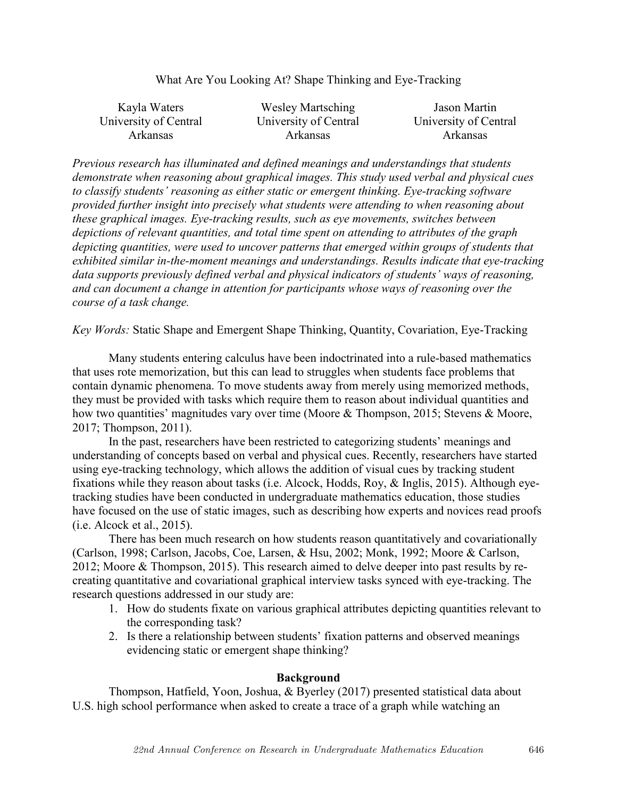| Kayla Waters          | <b>Wesley Martsching</b> | Jason Martin          |
|-----------------------|--------------------------|-----------------------|
| University of Central | University of Central    | University of Central |
| <b>Arkansas</b>       | <b>Arkansas</b>          | <b>Arkansas</b>       |

*Previous research has illuminated and defined meanings and understandings that students demonstrate when reasoning about graphical images. This study used verbal and physical cues to classify students' reasoning as either static or emergent thinking. Eye-tracking software provided further insight into precisely what students were attending to when reasoning about these graphical images. Eye-tracking results, such as eye movements, switches between depictions of relevant quantities, and total time spent on attending to attributes of the graph depicting quantities, were used to uncover patterns that emerged within groups of students that exhibited similar in-the-moment meanings and understandings. Results indicate that eye-tracking data supports previously defined verbal and physical indicators of students' ways of reasoning, and can document a change in attention for participants whose ways of reasoning over the course of a task change.* 

*Key Words:* Static Shape and Emergent Shape Thinking, Quantity, Covariation, Eye-Tracking

Many students entering calculus have been indoctrinated into a rule-based mathematics that uses rote memorization, but this can lead to struggles when students face problems that contain dynamic phenomena. To move students away from merely using memorized methods, they must be provided with tasks which require them to reason about individual quantities and how two quantities' magnitudes vary over time (Moore & Thompson, 2015; Stevens & Moore, 2017; Thompson, 2011).

In the past, researchers have been restricted to categorizing students' meanings and understanding of concepts based on verbal and physical cues. Recently, researchers have started using eye-tracking technology, which allows the addition of visual cues by tracking student fixations while they reason about tasks (i.e. Alcock, Hodds, Roy, & Inglis, 2015). Although eyetracking studies have been conducted in undergraduate mathematics education, those studies have focused on the use of static images, such as describing how experts and novices read proofs (i.e. Alcock et al., 2015).

There has been much research on how students reason quantitatively and covariationally (Carlson, 1998; Carlson, Jacobs, Coe, Larsen, & Hsu, 2002; Monk, 1992; Moore & Carlson, 2012; Moore & Thompson, 2015). This research aimed to delve deeper into past results by recreating quantitative and covariational graphical interview tasks synced with eye-tracking. The research questions addressed in our study are:

- 1. How do students fixate on various graphical attributes depicting quantities relevant to the corresponding task?
- 2. Is there a relationship between students' fixation patterns and observed meanings evidencing static or emergent shape thinking?

## **Background**

Thompson, Hatfield, Yoon, Joshua, & Byerley (2017) presented statistical data about U.S. high school performance when asked to create a trace of a graph while watching an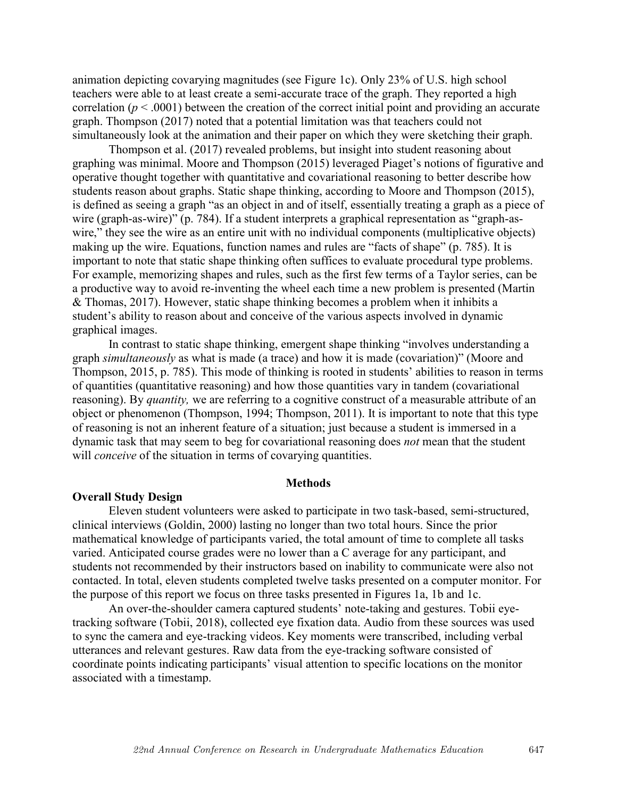animation depicting covarying magnitudes (see Figure 1c). Only 23% of U.S. high school teachers were able to at least create a semi-accurate trace of the graph. They reported a high correlation ( $p < .0001$ ) between the creation of the correct initial point and providing an accurate graph. Thompson (2017) noted that a potential limitation was that teachers could not simultaneously look at the animation and their paper on which they were sketching their graph.

Thompson et al. (2017) revealed problems, but insight into student reasoning about graphing was minimal. Moore and Thompson (2015) leveraged Piaget's notions of figurative and operative thought together with quantitative and covariational reasoning to better describe how students reason about graphs. Static shape thinking, according to Moore and Thompson (2015), is defined as seeing a graph "as an object in and of itself, essentially treating a graph as a piece of wire (graph-as-wire)" (p. 784). If a student interprets a graphical representation as "graph-aswire," they see the wire as an entire unit with no individual components (multiplicative objects) making up the wire. Equations, function names and rules are "facts of shape" (p. 785). It is important to note that static shape thinking often suffices to evaluate procedural type problems. For example, memorizing shapes and rules, such as the first few terms of a Taylor series, can be a productive way to avoid re-inventing the wheel each time a new problem is presented (Martin & Thomas, 2017). However, static shape thinking becomes a problem when it inhibits a student's ability to reason about and conceive of the various aspects involved in dynamic graphical images.

In contrast to static shape thinking, emergent shape thinking "involves understanding a graph *simultaneously* as what is made (a trace) and how it is made (covariation)" (Moore and Thompson, 2015, p. 785). This mode of thinking is rooted in students' abilities to reason in terms of quantities (quantitative reasoning) and how those quantities vary in tandem (covariational reasoning). By *quantity,* we are referring to a cognitive construct of a measurable attribute of an object or phenomenon (Thompson, 1994; Thompson, 2011). It is important to note that this type of reasoning is not an inherent feature of a situation; just because a student is immersed in a dynamic task that may seem to beg for covariational reasoning does *not* mean that the student will *conceive* of the situation in terms of covarying quantities.

#### **Methods**

### **Overall Study Design**

Eleven student volunteers were asked to participate in two task-based, semi-structured, clinical interviews (Goldin, 2000) lasting no longer than two total hours. Since the prior mathematical knowledge of participants varied, the total amount of time to complete all tasks varied. Anticipated course grades were no lower than a C average for any participant, and students not recommended by their instructors based on inability to communicate were also not contacted. In total, eleven students completed twelve tasks presented on a computer monitor. For the purpose of this report we focus on three tasks presented in Figures 1a, 1b and 1c.

An over-the-shoulder camera captured students' note-taking and gestures. Tobii eyetracking software (Tobii, 2018), collected eye fixation data. Audio from these sources was used to sync the camera and eye-tracking videos. Key moments were transcribed, including verbal utterances and relevant gestures. Raw data from the eye-tracking software consisted of coordinate points indicating participants' visual attention to specific locations on the monitor associated with a timestamp.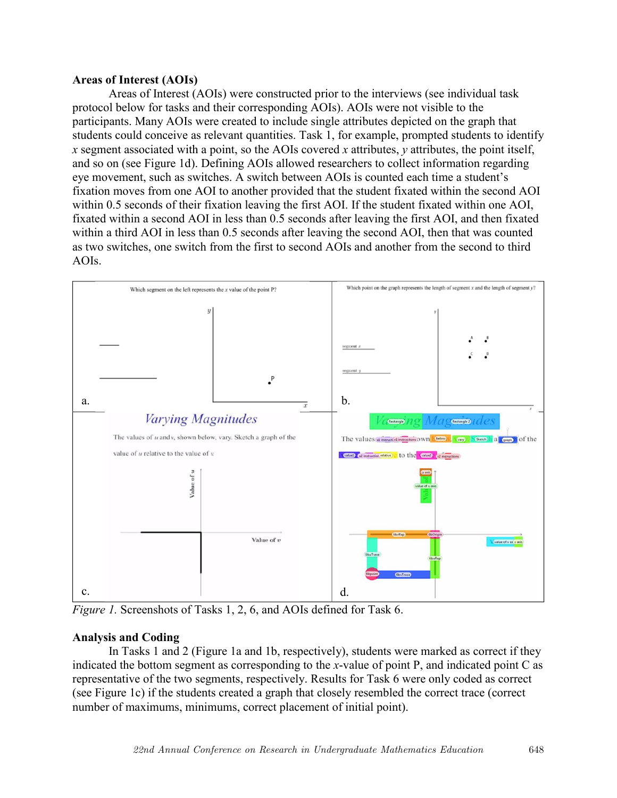# **Areas of Interest (AOIs)**

Areas of Interest (AOIs) were constructed prior to the interviews (see individual task protocol below for tasks and their corresponding AOIs). AOIs were not visible to the participants. Many AOIs were created to include single attributes depicted on the graph that students could conceive as relevant quantities. Task 1, for example, prompted students to identify *x* segment associated with a point, so the AOIs covered *x* attributes, *y* attributes, the point itself, and so on (see Figure 1d). Defining AOIs allowed researchers to collect information regarding eye movement, such as switches. A switch between AOIs is counted each time a student's fixation moves from one AOI to another provided that the student fixated within the second AOI within 0.5 seconds of their fixation leaving the first AOI. If the student fixated within one AOI, fixated within a second AOI in less than 0.5 seconds after leaving the first AOI, and then fixated within a third AOI in less than 0.5 seconds after leaving the second AOI, then that was counted as two switches, one switch from the first to second AOIs and another from the second to third AOIs.



*Figure 1.* Screenshots of Tasks 1, 2, 6, and AOIs defined for Task 6.

# **Analysis and Coding**

In Tasks 1 and 2 (Figure 1a and 1b, respectively), students were marked as correct if they indicated the bottom segment as corresponding to the *x*-value of point P, and indicated point C as representative of the two segments, respectively. Results for Task 6 were only coded as correct (see Figure 1c) if the students created a graph that closely resembled the correct trace (correct number of maximums, minimums, correct placement of initial point).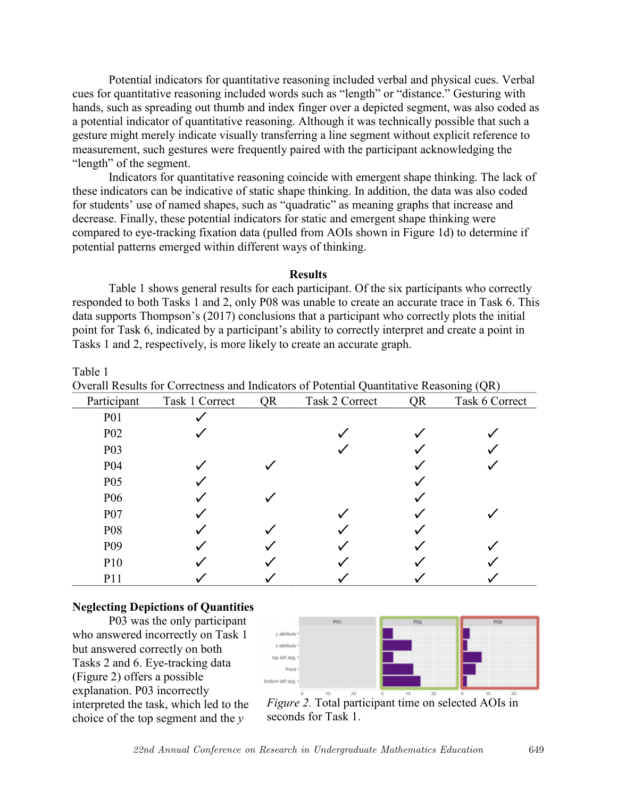Potential indicators for quantitative reasoning included verbal and physical cues. Verbal cues for quantitative reasoning included words such as "length" or "distance." Gesturing with hands, such as spreading out thumb and index finger over a depicted segment, was also coded as a potential indicator of quantitative reasoning. Although it was technically possible that such a gesture might merely indicate visually transferring a line segment without explicit reference to measurement, such gestures were frequently paired with the participant acknowledging the "length" of the segment.

Indicators for quantitative reasoning coincide with emergent shape thinking. The lack of these indicators can be indicative of static shape thinking. In addition, the data was also coded for students' use of named shapes, such as "quadratic" as meaning graphs that increase and decrease. Finally, these potential indicators for static and emergent shape thinking were compared to eye-tracking fixation data (pulled from AOIs shown in Figure 1d) to determine if potential patterns emerged within different ways of thinking.

### **Results**

Table 1 shows general results for each participant. Of the six participants who correctly responded to both Tasks 1 and 2, only P08 was unable to create an accurate trace in Task 6. This data supports Thompson's (2017) conclusions that a participant who correctly plots the initial point for Task 6, indicated by a participant's ability to correctly interpret and create a point in Tasks 1 and 2, respectively, is more likely to create an accurate graph.

Overall Results for Correctness and Indicators of Potential Quantitative Reasoning (QR)

| Participant      | Task 1 Correct | QR | Task 2 Correct | <b>QR</b> | Task 6 Correct |
|------------------|----------------|----|----------------|-----------|----------------|
| <b>P01</b>       |                |    |                |           |                |
| P <sub>02</sub>  |                |    |                |           |                |
| P <sub>0</sub> 3 |                |    |                |           |                |
| P04              |                |    |                |           |                |
| P <sub>05</sub>  |                |    |                |           |                |
| P <sub>06</sub>  |                |    |                |           |                |
| P07              |                |    |                |           |                |
| P08              |                |    |                |           |                |
| P <sub>09</sub>  |                |    |                |           |                |
| P10              |                |    |                |           |                |
| P11              |                |    |                |           |                |

#### **Neglecting Depictions of Quantities**

P03 was the only participant who answered incorrectly on Task 1 but answered correctly on both Tasks 2 and 6. Eye-tracking data (Figure 2) offers a possible explanation. P03 incorrectly interpreted the task, which led to the choice of the top segment and the *y*



*Figure 2.* Total participant time on selected AOIs in seconds for Task 1.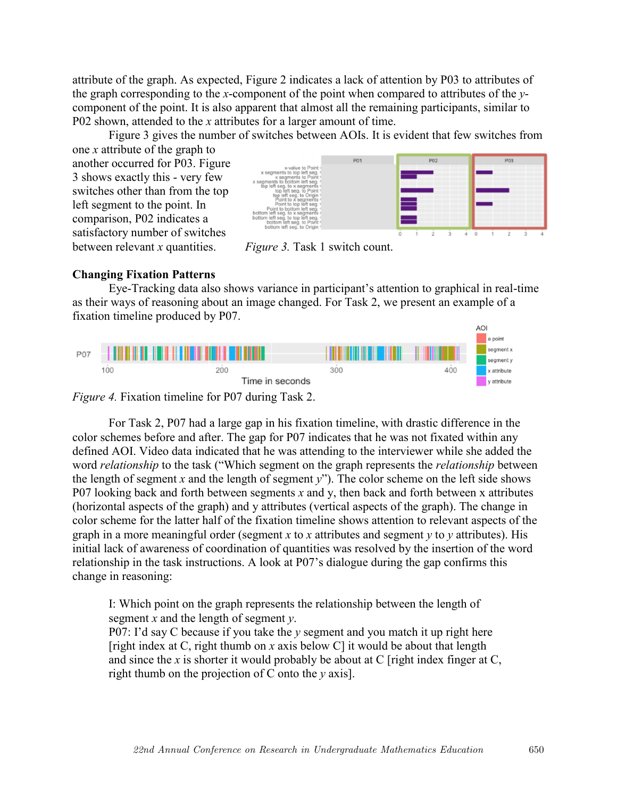attribute of the graph. As expected, Figure 2 indicates a lack of attention by P03 to attributes of the graph corresponding to the *x*-component of the point when compared to attributes of the *y*component of the point. It is also apparent that almost all the remaining participants, similar to P02 shown, attended to the *x* attributes for a larger amount of time.

Figure 3 gives the number of switches between AOIs. It is evident that few switches from

one *x* attribute of the graph to another occurred for P03. Figure 3 shows exactly this - very few switches other than from the top left segment to the point. In comparison, P02 indicates a satisfactory number of switches between relevant *x* quantities.



*Figure 3.* Task 1 switch count.

## **Changing Fixation Patterns**

Eye-Tracking data also shows variance in participant's attention to graphical in real-time as their ways of reasoning about an image changed. For Task 2, we present an example of a fixation timeline produced by P07.



*Figure 4.* Fixation timeline for P07 during Task 2.

For Task 2, P07 had a large gap in his fixation timeline, with drastic difference in the color schemes before and after. The gap for P07 indicates that he was not fixated within any defined AOI. Video data indicated that he was attending to the interviewer while she added the word *relationship* to the task ("Which segment on the graph represents the *relationship* between the length of segment *x* and the length of segment *y*"). The color scheme on the left side shows P07 looking back and forth between segments *x* and y, then back and forth between x attributes (horizontal aspects of the graph) and y attributes (vertical aspects of the graph). The change in color scheme for the latter half of the fixation timeline shows attention to relevant aspects of the graph in a more meaningful order (segment *x* to *x* attributes and segment *y* to *y* attributes). His initial lack of awareness of coordination of quantities was resolved by the insertion of the word relationship in the task instructions. A look at P07's dialogue during the gap confirms this change in reasoning:

I: Which point on the graph represents the relationship between the length of segment *x* and the length of segment *y*.

P07: I'd say C because if you take the *y* segment and you match it up right here [right index at C, right thumb on *x* axis below C] it would be about that length and since the  $x$  is shorter it would probably be about at  $C$  [right index finger at  $C$ , right thumb on the projection of C onto the *y* axis].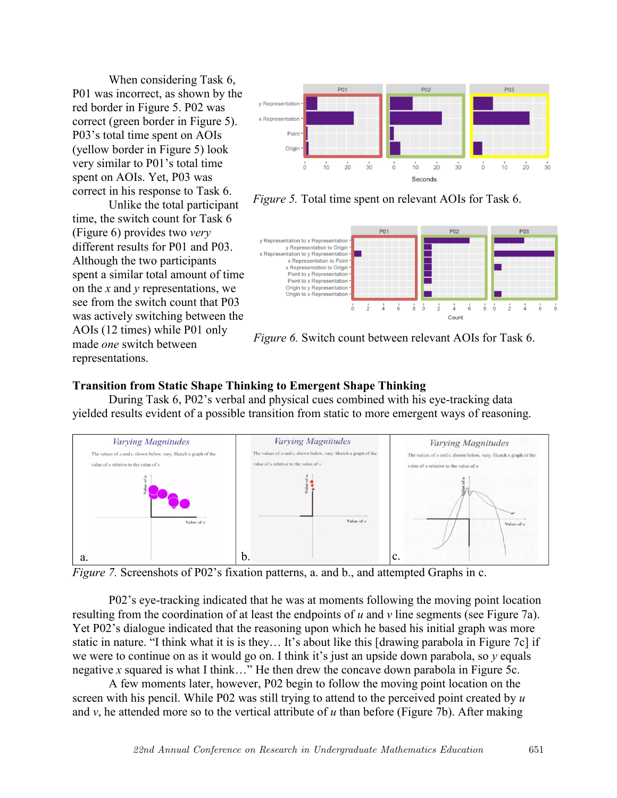When considering Task 6, P01 was incorrect, as shown by the red border in Figure 5. P02 was correct (green border in Figure 5). P03's total time spent on AOIs (yellow border in Figure 5) look very similar to P01's total time spent on AOIs. Yet, P03 was correct in his response to Task 6.

Unlike the total participant time, the switch count for Task 6 (Figure 6) provides two *very*  different results for P01 and P03. Although the two participants spent a similar total amount of time on the *x* and *y* representations, we see from the switch count that P03 was actively switching between the AOIs (12 times) while P01 only made *one* switch between representations.



*Figure 5.* Total time spent on relevant AOIs for Task 6.



*Figure 6.* Switch count between relevant AOIs for Task 6.

# **Transition from Static Shape Thinking to Emergent Shape Thinking**

During Task 6, P02's verbal and physical cues combined with his eye-tracking data yielded results evident of a possible transition from static to more emergent ways of reasoning.



*Figure 7.* Screenshots of P02's fixation patterns, a. and b., and attempted Graphs in c.

P02's eye-tracking indicated that he was at moments following the moving point location resulting from the coordination of at least the endpoints of *u* and *v* line segments (see Figure 7a). Yet P02's dialogue indicated that the reasoning upon which he based his initial graph was more static in nature. "I think what it is is they… It's about like this [drawing parabola in Figure 7c] if we were to continue on as it would go on. I think it's just an upside down parabola, so *y* equals negative *x* squared is what I think…" He then drew the concave down parabola in Figure 5c.

A few moments later, however, P02 begin to follow the moving point location on the screen with his pencil. While P02 was still trying to attend to the perceived point created by *u* and *v*, he attended more so to the vertical attribute of *u* than before (Figure 7b). After making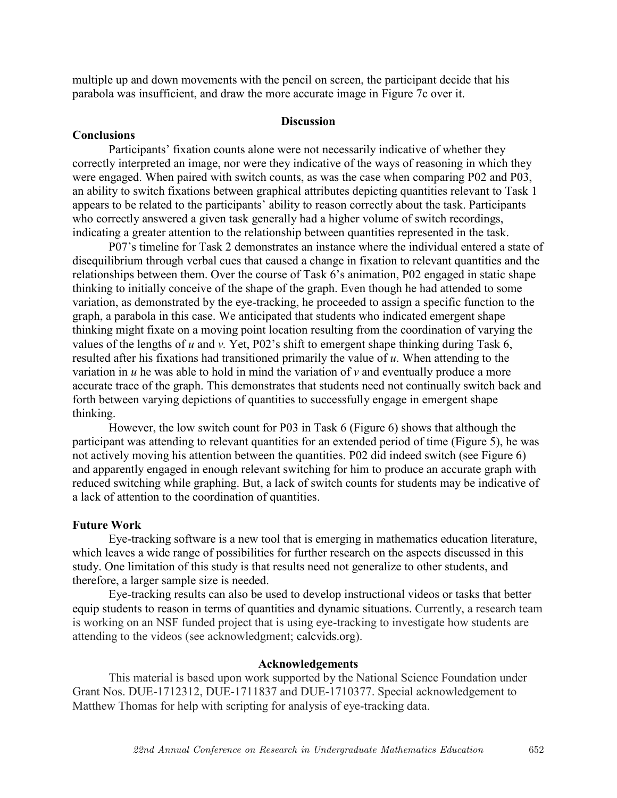multiple up and down movements with the pencil on screen, the participant decide that his parabola was insufficient, and draw the more accurate image in Figure 7c over it.

### **Discussion**

### **Conclusions**

Participants' fixation counts alone were not necessarily indicative of whether they correctly interpreted an image, nor were they indicative of the ways of reasoning in which they were engaged. When paired with switch counts, as was the case when comparing P02 and P03, an ability to switch fixations between graphical attributes depicting quantities relevant to Task 1 appears to be related to the participants' ability to reason correctly about the task. Participants who correctly answered a given task generally had a higher volume of switch recordings, indicating a greater attention to the relationship between quantities represented in the task.

P07's timeline for Task 2 demonstrates an instance where the individual entered a state of disequilibrium through verbal cues that caused a change in fixation to relevant quantities and the relationships between them. Over the course of Task 6's animation, P02 engaged in static shape thinking to initially conceive of the shape of the graph. Even though he had attended to some variation, as demonstrated by the eye-tracking, he proceeded to assign a specific function to the graph, a parabola in this case. We anticipated that students who indicated emergent shape thinking might fixate on a moving point location resulting from the coordination of varying the values of the lengths of *u* and *v.* Yet, P02's shift to emergent shape thinking during Task 6, resulted after his fixations had transitioned primarily the value of *u*. When attending to the variation in *u* he was able to hold in mind the variation of *v* and eventually produce a more accurate trace of the graph. This demonstrates that students need not continually switch back and forth between varying depictions of quantities to successfully engage in emergent shape thinking.

However, the low switch count for P03 in Task 6 (Figure 6) shows that although the participant was attending to relevant quantities for an extended period of time (Figure 5), he was not actively moving his attention between the quantities. P02 did indeed switch (see Figure 6) and apparently engaged in enough relevant switching for him to produce an accurate graph with reduced switching while graphing. But, a lack of switch counts for students may be indicative of a lack of attention to the coordination of quantities.

#### **Future Work**

Eye-tracking software is a new tool that is emerging in mathematics education literature, which leaves a wide range of possibilities for further research on the aspects discussed in this study. One limitation of this study is that results need not generalize to other students, and therefore, a larger sample size is needed.

Eye-tracking results can also be used to develop instructional videos or tasks that better equip students to reason in terms of quantities and dynamic situations. Currently, a research team is working on an NSF funded project that is using eye-tracking to investigate how students are attending to the videos (see acknowledgment; calcvids.org).

### **Acknowledgements**

This material is based upon work supported by the National Science Foundation under Grant Nos. DUE-1712312, DUE-1711837 and DUE-1710377. Special acknowledgement to Matthew Thomas for help with scripting for analysis of eye-tracking data.